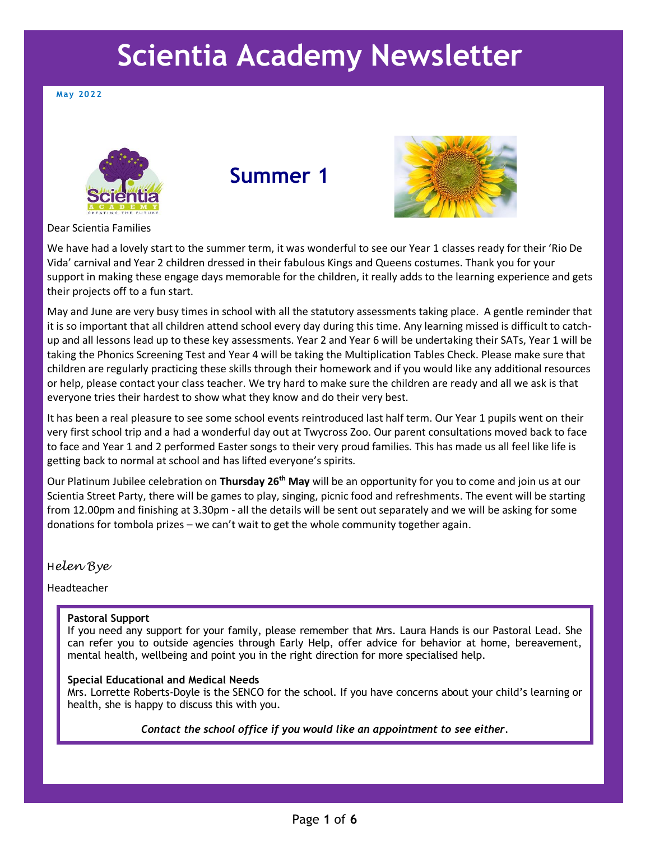# **Scientia Academy Newsletter**

**Ma y 2022**



**Summer 1** 



Dear Scientia Families

We have had a lovely start to the summer term, it was wonderful to see our Year 1 classes ready for their 'Rio De Vida' carnival and Year 2 children dressed in their fabulous Kings and Queens costumes. Thank you for your support in making these engage days memorable for the children, it really adds to the learning experience and gets their projects off to a fun start.

May and June are very busy times in school with all the statutory assessments taking place. A gentle reminder that it is so important that all children attend school every day during this time. Any learning missed is difficult to catchup and all lessons lead up to these key assessments. Year 2 and Year 6 will be undertaking their SATs, Year 1 will be taking the Phonics Screening Test and Year 4 will be taking the Multiplication Tables Check. Please make sure that children are regularly practicing these skills through their homework and if you would like any additional resources or help, please contact your class teacher. We try hard to make sure the children are ready and all we ask is that everyone tries their hardest to show what they know and do their very best.

It has been a real pleasure to see some school events reintroduced last half term. Our Year 1 pupils went on their very first school trip and a had a wonderful day out at Twycross Zoo. Our parent consultations moved back to face to face and Year 1 and 2 performed Easter songs to their very proud families. This has made us all feel like life is getting back to normal at school and has lifted everyone's spirits.

Our Platinum Jubilee celebration on **Thursday 26th May** will be an opportunity for you to come and join us at our Scientia Street Party, there will be games to play, singing, picnic food and refreshments. The event will be starting from 12.00pm and finishing at 3.30pm - all the details will be sent out separately and we will be asking for some donations for tombola prizes – we can't wait to get the whole community together again.

H*elen Bye*

Headteacher

### **Pastoral Support**

If you need any support for your family, please remember that Mrs. Laura Hands is our Pastoral Lead. She can refer you to outside agencies through Early Help, offer advice for behavior at home, bereavement, mental health, wellbeing and point you in the right direction for more specialised help.

#### **Special Educational and Medical Needs**

Mrs. Lorrette Roberts-Doyle is the SENCO for the school. If you have concerns about your child's learning or health, she is happy to discuss this with you.

*Contact the school office if you would like an appointment to see either.*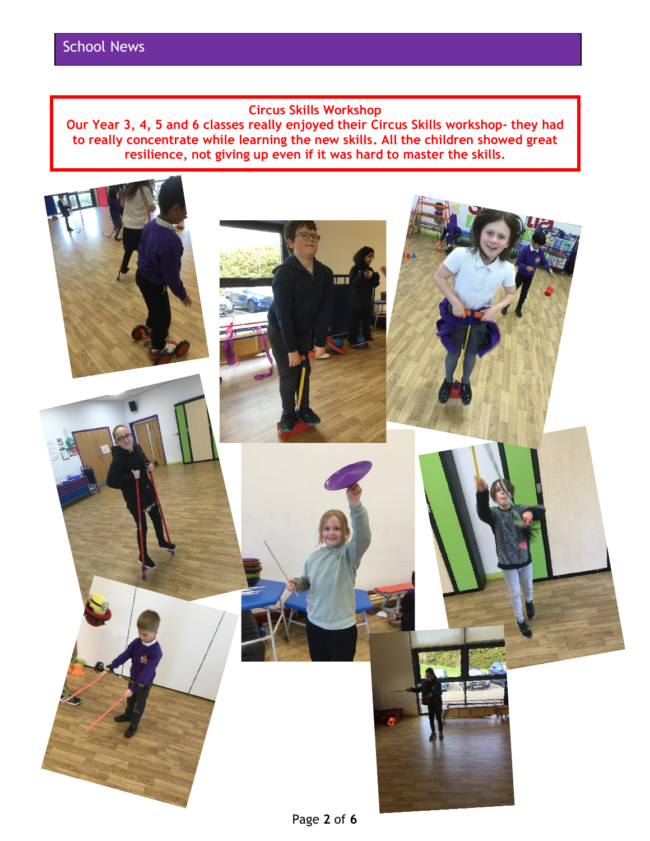## **Circus Skills Workshop**

**Our Year 3, 4, 5 and 6 classes really enjoyed their Circus Skills workshop- they had to really concentrate while learning the new skills. All the children showed great resilience, not giving up even if it was hard to master the skills.**

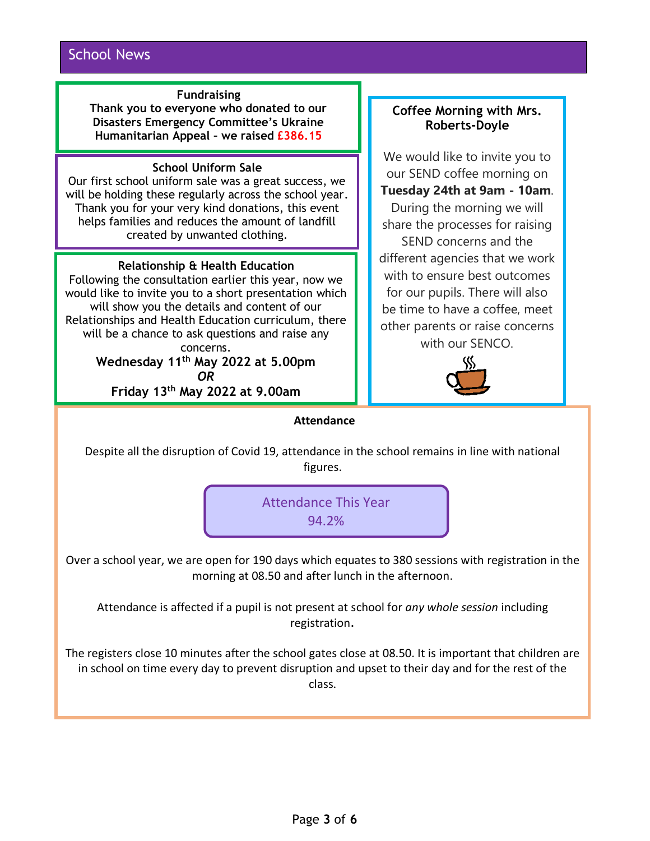## **Fundraising**

**Thank you to everyone who donated to our Disasters Emergency Committee's Ukraine Humanitarian Appeal – we raised £386.15**

## **School Uniform Sale**

Our first school uniform sale was a great success, we will be holding these regularly across the school year. Thank you for your very kind donations, this event helps families and reduces the amount of landfill created by unwanted clothing.

## **Relationship & Health Education**

Following the consultation earlier this year, now we would like to invite you to a short presentation which will show you the details and content of our Relationships and Health Education curriculum, there will be a chance to ask questions and raise any concerns. **Wednesday 11th May 2022 at 5.00pm**

*OR*

**Friday 13th May 2022 at 9.00am**

## **Coffee Morning with Mrs. Roberts-Doyle**

We would like to invite you to our SEND coffee morning on **Tuesday 24th at 9am - 10am**. During the morning we will share the processes for raising SEND concerns and the different agencies that we work with to ensure best outcomes for our pupils. There will also be time to have a coffee, meet other parents or raise concerns with our SENCO.



## **Attendance**

Despite all the disruption of Covid 19, attendance in the school remains in line with national figures.



Over a school year, we are open for 190 days which equates to 380 sessions with registration in the morning at 08.50 and after lunch in the afternoon.

Attendance is affected if a pupil is not present at school for *any whole session* including registration.

The registers close 10 minutes after the school gates close at 08.50. It is important that children are in school on time every day to prevent disruption and upset to their day and for the rest of the class.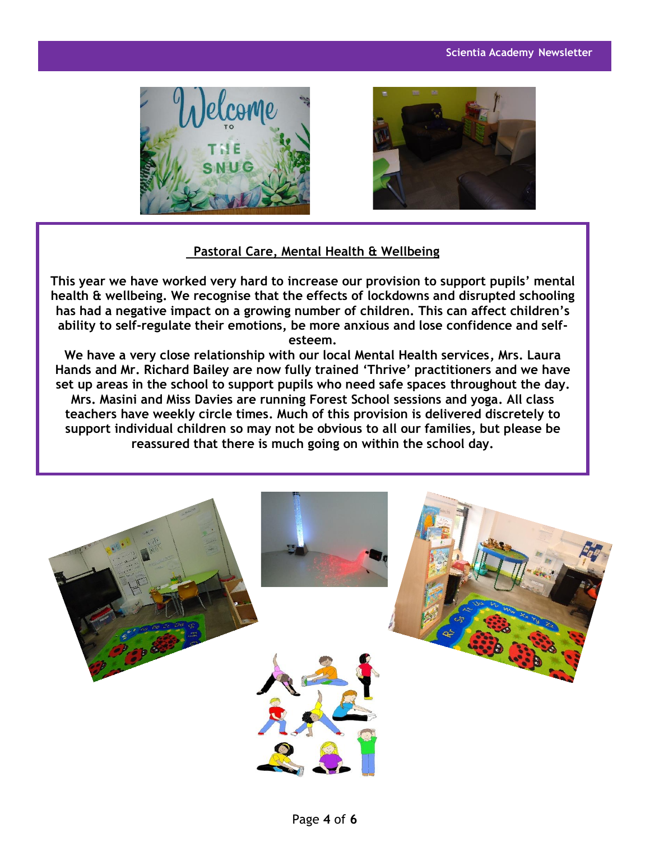



## **Pastoral Care, Mental Health & Wellbeing**

**This year we have worked very hard to increase our provision to support pupils' mental health & wellbeing. We recognise that the effects of lockdowns and disrupted schooling has had a negative impact on a growing number of children. This can affect children's ability to self-regulate their emotions, be more anxious and lose confidence and selfesteem.**

**We have a very close relationship with our local Mental Health services, Mrs. Laura Hands and Mr. Richard Bailey are now fully trained 'Thrive' practitioners and we have set up areas in the school to support pupils who need safe spaces throughout the day. Mrs. Masini and Miss Davies are running Forest School sessions and yoga. All class teachers have weekly circle times. Much of this provision is delivered discretely to support individual children so may not be obvious to all our families, but please be reassured that there is much going on within the school day.** 

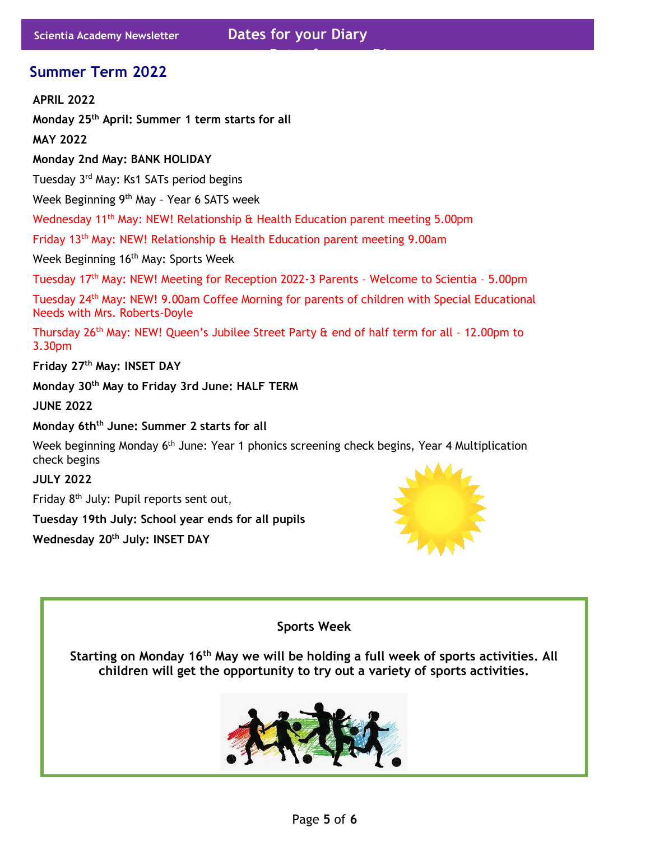**Dates for your Diary** 

# **Summer Term 2022**

**APRIL 2022**

**Monday 25th April: Summer 1 term starts for all**

**MAY 2022**

**Monday 2nd May: BANK HOLIDAY**

Tuesday 3rd May: Ks1 SATs period begins

Week Beginning 9<sup>th</sup> May - Year 6 SATS week

Wednesday 11<sup>th</sup> May: NEW! Relationship & Health Education parent meeting 5.00pm

Friday 13th May: NEW! Relationship & Health Education parent meeting 9.00am

Week Beginning 16<sup>th</sup> May: Sports Week

Tuesdav 17<sup>th</sup> May: NEW! Meeting for Reception 2022-3 Parents - Welcome to Scientia - 5.00pm

Tuesday 24th May: NEW! 9.00am Coffee Morning for parents of children with Special Educational Needs with Mrs. Roberts-Doyle

Thursday 26<sup>th</sup> May: NEW! Queen's Jubilee Street Party & end of half term for all - 12.00pm to 3.30pm

**Friday 27 th May: INSET DAY**

**Monday 30 th May to Friday 3rd June: HALF TERM**

**JUNE 2022**

**Monday 6thth June: Summer 2 starts for all**

Week beginning Monday 6<sup>th</sup> June: Year 1 phonics screening check begins, Year 4 Multiplication check begins

**JULY 2022**

Friday 8<sup>th</sup> July: Pupil reports sent out,

**Tuesday 19th July: School year ends for all pupils**

**Wednesday 20th July: INSET DAY**



**Sports Week**

**Starting on Monday 16th May we will be holding a full week of sports activities. All children will get the opportunity to try out a variety of sports activities.**